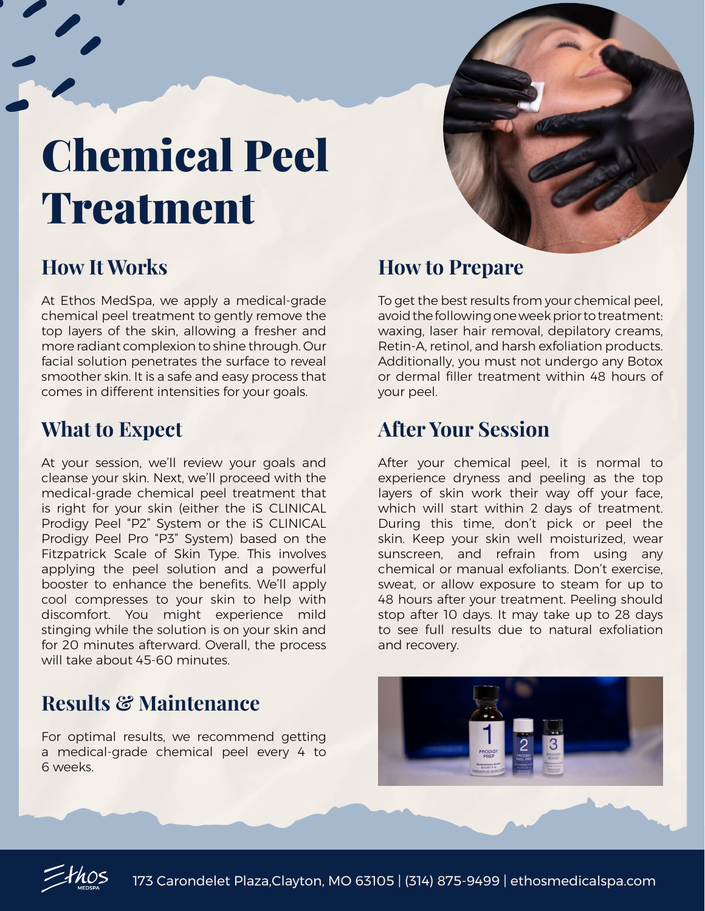## Chemical Peel Treatment



## **How It Works**

At Ethos MedSpa, we apply a medical-grade chemical peel treatment to gently remove the top layers of the skin, allowing a fresher and more radiant complexion to shine through. Our facial solution penetrates the surface to reveal smoother skin. It is a safe and easy process that comes in different intensities for your goals.

#### **What to Expect**

At your session, we'll review your goals and cleanse your skin. Next, we'll proceed with the medical-grade chemical peel treatment that is right for your skin (either the iS CLINICAL Prodigy Peel "P2" System or the iS CLINICAL Prodigy Peel Pro "P3" System) based on the Fitzpatrick Scale of Skin Type. This involves applying the peel solution and a powerful booster to enhance the benefits. We'll apply cool compresses to your skin to help with discomfort. You might experience mild stinging while the solution is on your skin and for 20 minutes afterward. Overall, the process will take about 45-60 minutes.

### **Results & Maintenance**

For optimal results, we recommend getting a medical-grade chemical peel every 4 to 6 weeks.

#### **How to Prepare**

To get the best results from your chemical peel, avoid the following one week prior to treatment: waxing, laser hair removal, depilatory creams, Retin-A, retinol, and harsh exfoliation products. Additionally, you must not undergo any Botox or dermal filler treatment within 48 hours of your peel.

#### **After Your Session**

After your chemical peel, it is normal to experience dryness and peeling as the top layers of skin work their way off your face, which will start within 2 days of treatment. During this time, don't pick or peel the skin. Keep your skin well moisturized, wear sunscreen, and refrain from using any chemical or manual exfoliants. Don't exercise, sweat, or allow exposure to steam for up to 48 hours after your treatment. Peeling should stop after 10 days. It may take up to 28 days to see full results due to natural exfoliation and recovery.